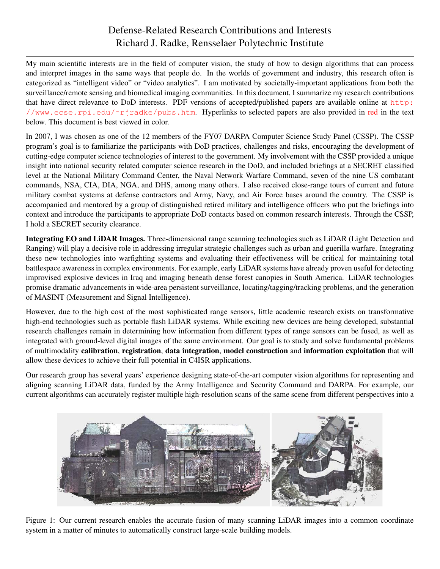## Defense-Related Research Contributions and Interests Richard J. Radke, Rensselaer Polytechnic Institute

My main scientific interests are in the field of computer vision, the study of how to design algorithms that can process and interpret images in the same ways that people do. In the worlds of government and industry, this research often is categorized as "intelligent video" or "video analytics". I am motivated by societally-important applications from both the surveillance/remote sensing and biomedical imaging communities. In this document, I summarize my research contributions that have direct relevance to DoD interests. PDF versions of accepted/published papers are available online at [http:](http://www.ecse.rpi.edu/~rjradke/pubs.htm) [//www.ecse.rpi.edu/˜rjradke/pubs.htm](http://www.ecse.rpi.edu/~rjradke/pubs.htm). Hyperlinks to selected papers are also provided in red in the text below. This document is best viewed in color.

In 2007, I was chosen as one of the 12 members of the FY07 DARPA Computer Science Study Panel (CSSP). The CSSP program's goal is to familiarize the participants with DoD practices, challenges and risks, encouraging the development of cutting-edge computer science technologies of interest to the government. My involvement with the CSSP provided a unique insight into national security related computer science research in the DoD, and included briefings at a SECRET classified level at the National Military Command Center, the Naval Network Warfare Command, seven of the nine US combatant commands, NSA, CIA, DIA, NGA, and DHS, among many others. I also received close-range tours of current and future military combat systems at defense contractors and Army, Navy, and Air Force bases around the country. The CSSP is accompanied and mentored by a group of distinguished retired military and intelligence officers who put the briefings into context and introduce the participants to appropriate DoD contacts based on common research interests. Through the CSSP, I hold a SECRET security clearance.

Integrating EO and LiDAR Images. Three-dimensional range scanning technologies such as LiDAR (Light Detection and Ranging) will play a decisive role in addressing irregular strategic challenges such as urban and guerilla warfare. Integrating these new technologies into warfighting systems and evaluating their effectiveness will be critical for maintaining total battlespace awareness in complex environments. For example, early LiDAR systems have already proven useful for detecting improvised explosive devices in Iraq and imaging beneath dense forest canopies in South America. LiDAR technologies promise dramatic advancements in wide-area persistent surveillance, locating/tagging/tracking problems, and the generation of MASINT (Measurement and Signal Intelligence).

However, due to the high cost of the most sophisticated range sensors, little academic research exists on transformative high-end technologies such as portable flash LiDAR systems. While exciting new devices are being developed, substantial research challenges remain in determining how information from different types of range sensors can be fused, as well as integrated with ground-level digital images of the same environment. Our goal is to study and solve fundamental problems of multimodality calibration, registration, data integration, model construction and information exploitation that will allow these devices to achieve their full potential in C4ISR applications.

Our research group has several years' experience designing state-of-the-art computer vision algorithms for representing and aligning scanning LiDAR data, funded by the Army Intelligence and Security Command and DARPA. For example, our current algorithms can accurately register multiple high-resolution scans of the same scene from different perspectives into a

<span id="page-0-0"></span>

Figure 1: Our current research enables the accurate fusion of many scanning LiDAR images into a common coordinate system in a matter of minutes to automatically construct large-scale building models.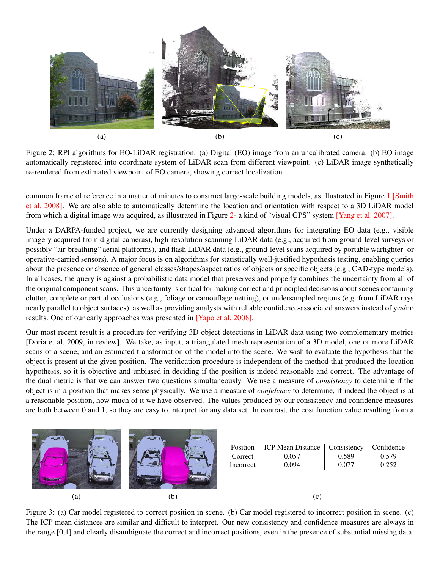

Figure 2: RPI algorithms for EO-LiDAR registration. (a) Digital (EO) image from an uncalibrated camera. (b) EO image automatically registered into coordinate system of LiDAR scan from different viewpoint. (c) LiDAR image synthetically re-rendered from estimated viewpoint of EO camera, showing correct localization.

<span id="page-1-0"></span>common frame of reference in a matter of minutes to construct large-scale building models, as illustrated in Figure [1](#page-0-0) [\[Smith](http://www.ecse.rpi.edu/~rjradke/papers/radkecviu08.pdf) [et al. 2008\].](http://www.ecse.rpi.edu/~rjradke/papers/radkecviu08.pdf) We are also able to automatically determine the location and orientation with respect to a 3D LiDAR model from which a digital image was acquired, as illustrated in Figure [2-](#page-1-0) a kind of "visual GPS" system [\[Yang et al. 2007\].](http://www.vision.cs.rpi.edu/publications/pdfs/yang-3dim07.pdf)

Under a DARPA-funded project, we are currently designing advanced algorithms for integrating EO data (e.g., visible imagery acquired from digital cameras), high-resolution scanning LiDAR data (e.g., acquired from ground-level surveys or possibly "air-breathing" aerial platforms), and flash LiDAR data (e.g., ground-level scans acquired by portable warfighter- or operative-carried sensors). A major focus is on algorithms for statistically well-justified hypothesis testing, enabling queries about the presence or absence of general classes/shapes/aspect ratios of objects or specific objects (e.g., CAD-type models). In all cases, the query is against a probabilistic data model that preserves and properly combines the uncertainty from all of the original component scans. This uncertainty is critical for making correct and principled decisions about scenes containing clutter, complete or partial occlusions (e.g., foliage or camouflage netting), or undersampled regions (e.g. from LiDAR rays nearly parallel to object surfaces), as well as providing analysts with reliable confidence-associated answers instead of yes/no results. One of our early approaches was presented in [\[Yapo et al. 2008\].](http://www.ecse.rpi.edu/~rjradke/papers/radkes3d08.pdf)

Our most recent result is a procedure for verifying 3D object detections in LiDAR data using two complementary metrics [Doria et al. 2009, in review]. We take, as input, a triangulated mesh representation of a 3D model, one or more LiDAR scans of a scene, and an estimated transformation of the model into the scene. We wish to evaluate the hypothesis that the object is present at the given position. The verification procedure is independent of the method that produced the location hypothesis, so it is objective and unbiased in deciding if the position is indeed reasonable and correct. The advantage of the dual metric is that we can answer two questions simultaneously. We use a measure of *consistency* to determine if the object is in a position that makes sense physically. We use a measure of *confidence* to determine, if indeed the object is at a reasonable position, how much of it we have observed. The values produced by our consistency and confidence measures are both between 0 and 1, so they are easy to interpret for any data set. In contrast, the cost function value resulting from a



<span id="page-1-1"></span>Figure 3: (a) Car model registered to correct position in scene. (b) Car model registered to incorrect position in scene. (c) The ICP mean distances are similar and difficult to interpret. Our new consistency and confidence measures are always in the range [0,1] and clearly disambiguate the correct and incorrect positions, even in the presence of substantial missing data.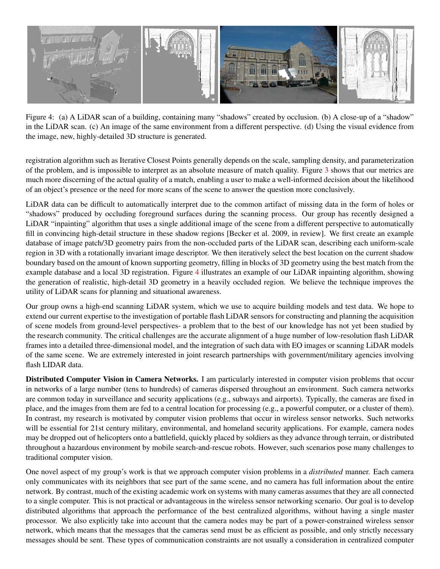

Figure 4: (a) A LiDAR scan of a building, containing many "shadows" created by occlusion. (b) A close-up of a "shadow" in the LiDAR scan. (c) An image of the same environment from a different perspective. (d) Using the visual evidence from the image, new, highly-detailed 3D structure is generated.

<span id="page-2-0"></span>registration algorithm such as Iterative Closest Points generally depends on the scale, sampling density, and parameterization of the problem, and is impossible to interpret as an absolute measure of match quality. Figure [3](#page-1-1) shows that our metrics are much more discerning of the actual quality of a match, enabling a user to make a well-informed decision about the likelihood of an object's presence or the need for more scans of the scene to answer the question more conclusively.

LiDAR data can be difficult to automatically interpret due to the common artifact of missing data in the form of holes or "shadows" produced by occluding foreground surfaces during the scanning process. Our group has recently designed a LiDAR "inpainting" algorithm that uses a single additional image of the scene from a different perspective to automatically fill in convincing high-detail structure in these shadow regions [Becker et al. 2009, in review]. We first create an example database of image patch/3D geometry pairs from the non-occluded parts of the LiDAR scan, describing each uniform-scale region in 3D with a rotationally invariant image descriptor. We then iteratively select the best location on the current shadow boundary based on the amount of known supporting geometry, filling in blocks of 3D geometry using the best match from the example database and a local 3D registration. Figure [4](#page-2-0) illustrates an example of our LiDAR inpainting algorithm, showing the generation of realistic, high-detail 3D geometry in a heavily occluded region. We believe the technique improves the utility of LiDAR scans for planning and situational awareness.

Our group owns a high-end scanning LiDAR system, which we use to acquire building models and test data. We hope to extend our current expertise to the investigation of portable flash LiDAR sensors for constructing and planning the acquisition of scene models from ground-level perspectives- a problem that to the best of our knowledge has not yet been studied by the research community. The critical challenges are the accurate alignment of a huge number of low-resolution flash LiDAR frames into a detailed three-dimensional model, and the integration of such data with EO images or scanning LiDAR models of the same scene. We are extremely interested in joint research partnerships with government/military agencies involving flash LIDAR data.

Distributed Computer Vision in Camera Networks. I am particularly interested in computer vision problems that occur in networks of a large number (tens to hundreds) of cameras dispersed throughout an environment. Such camera networks are common today in surveillance and security applications (e.g., subways and airports). Typically, the cameras are fixed in place, and the images from them are fed to a central location for processing (e.g., a powerful computer, or a cluster of them). In contrast, my research is motivated by computer vision problems that occur in wireless sensor networks. Such networks will be essential for 21st century military, environmental, and homeland security applications. For example, camera nodes may be dropped out of helicopters onto a battlefield, quickly placed by soldiers as they advance through terrain, or distributed throughout a hazardous environment by mobile search-and-rescue robots. However, such scenarios pose many challenges to traditional computer vision.

One novel aspect of my group's work is that we approach computer vision problems in a *distributed* manner. Each camera only communicates with its neighbors that see part of the same scene, and no camera has full information about the entire network. By contrast, much of the existing academic work on systems with many cameras assumes that they are all connected to a single computer. This is not practical or advantageous in the wireless sensor networking scenario. Our goal is to develop distributed algorithms that approach the performance of the best centralized algorithms, without having a single master processor. We also explicitly take into account that the camera nodes may be part of a power-constrained wireless sensor network, which means that the messages that the cameras send must be as efficient as possible, and only strictly necessary messages should be sent. These types of communication constraints are not usually a consideration in centralized computer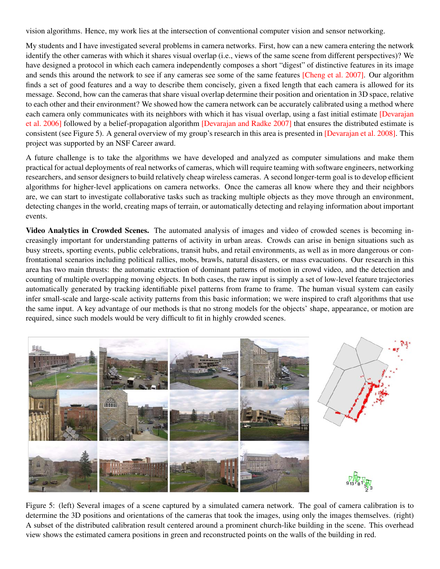vision algorithms. Hence, my work lies at the intersection of conventional computer vision and sensor networking.

My students and I have investigated several problems in camera networks. First, how can a new camera entering the network identify the other cameras with which it shares visual overlap (i.e., views of the same scene from different perspectives)? We have designed a protocol in which each camera independently composes a short "digest" of distinctive features in its image and sends this around the network to see if any cameras see some of the same features [\[Cheng et al. 2007\].](http://www.ecse.rpi.edu/~rjradke/papers/radkevsn06.pdf) Our algorithm finds a set of good features and a way to describe them concisely, given a fixed length that each camera is allowed for its message. Second, how can the cameras that share visual overlap determine their position and orientation in 3D space, relative to each other and their environment? We showed how the camera network can be accurately calibrated using a method where each camera only communicates with its neighbors with which it has visual overlap, using a fast initial estimate *[\[Devarajan](http://www.ecse.rpi.edu/~rjradke/papers/radketosn06.pdf)*] [et al. 2006\]](http://www.ecse.rpi.edu/~rjradke/papers/radketosn06.pdf) followed by a belief-propagation algorithm [\[Devarajan and Radke 2007\]](http://www.ecse.rpi.edu/~rjradke/papers/radkevsn06bp.pdf) that ensures the distributed estimate is consistent (see Figure 5). A general overview of my group's research in this area is presented in [\[Devarajan et al. 2008\].](http://www.ecse.rpi.edu/~rjradke/papers/radkepieee08.pdf) This project was supported by an NSF Career award.

A future challenge is to take the algorithms we have developed and analyzed as computer simulations and make them practical for actual deployments of real networks of cameras, which will require teaming with software engineers, networking researchers, and sensor designers to build relatively cheap wireless cameras. A second longer-term goal is to develop efficient algorithms for higher-level applications on camera networks. Once the cameras all know where they and their neighbors are, we can start to investigate collaborative tasks such as tracking multiple objects as they move through an environment, detecting changes in the world, creating maps of terrain, or automatically detecting and relaying information about important events.

Video Analytics in Crowded Scenes. The automated analysis of images and video of crowded scenes is becoming increasingly important for understanding patterns of activity in urban areas. Crowds can arise in benign situations such as busy streets, sporting events, public celebrations, transit hubs, and retail environments, as well as in more dangerous or confrontational scenarios including political rallies, mobs, brawls, natural disasters, or mass evacuations. Our research in this area has two main thrusts: the automatic extraction of dominant patterns of motion in crowd video, and the detection and counting of multiple overlapping moving objects. In both cases, the raw input is simply a set of low-level feature trajectories automatically generated by tracking identifiable pixel patterns from frame to frame. The human visual system can easily infer small-scale and large-scale activity patterns from this basic information; we were inspired to craft algorithms that use the same input. A key advantage of our methods is that no strong models for the objects' shape, appearance, or motion are required, since such models would be very difficult to fit in highly crowded scenes.



Figure 5: (left) Several images of a scene captured by a simulated camera network. The goal of camera calibration is to determine the 3D positions and orientations of the cameras that took the images, using only the images themselves. (right) A subset of the distributed calibration result centered around a prominent church-like building in the scene. This overhead view shows the estimated camera positions in green and reconstructed points on the walls of the building in red.